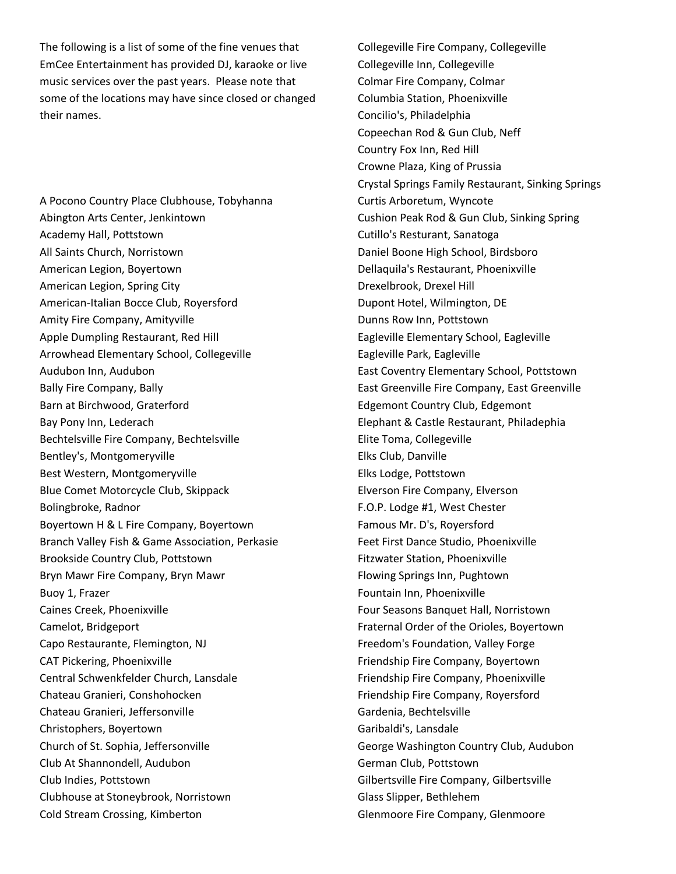The following is a list of some of the fine venues that EmCee Entertainment has provided DJ, karaoke or live music services over the past years. Please note that some of the locations may have since closed or changed their names.

A Pocono Country Place Clubhouse, Tobyhanna Abington Arts Center, Jenkintown Academy Hall, Pottstown All Saints Church, Norristown American Legion, Boyertown American Legion, Spring City American-Italian Bocce Club, Royersford Amity Fire Company, Amityville Apple Dumpling Restaurant, Red Hill Arrowhead Elementary School, Collegeville Audubon Inn, Audubon Bally Fire Company, Bally Barn at Birchwood, Graterford Bay Pony Inn, Lederach Bechtelsville Fire Company, Bechtelsville Bentley's, Montgomeryville Best Western, Montgomeryville Blue Comet Motorcycle Club, Skippack Bolingbroke, Radnor Boyertown H & L Fire Company, Boyertown Branch Valley Fish & Game Association, Perkasie Brookside Country Club, Pottstown Bryn Mawr Fire Company, Bryn Mawr Buoy 1, Frazer Caines Creek, Phoenixville Camelot, Bridgeport Capo Restaurante, Flemington, NJ CAT Pickering, Phoenixville Central Schwenkfelder Church, Lansdale Chateau Granieri, Conshohocken Chateau Granieri, Jeffersonville Christophers, Boyertown Church of St. Sophia, Jeffersonville Club At Shannondell, Audubon Club Indies, Pottstown Clubhouse at Stoneybrook, Norristown Cold Stream Crossing, Kimberton

Collegeville Fire Company, Collegeville Collegeville Inn, Collegeville Colmar Fire Company, Colmar Columbia Station, Phoenixville Concilio's, Philadelphia Copeechan Rod & Gun Club, Neff Country Fox Inn, Red Hill Crowne Plaza, King of Prussia Crystal Springs Family Restaurant, Sinking Springs Curtis Arboretum, Wyncote Cushion Peak Rod & Gun Club, Sinking Spring Cutillo's Resturant, Sanatoga Daniel Boone High School, Birdsboro Dellaquila's Restaurant, Phoenixville Drexelbrook, Drexel Hill Dupont Hotel, Wilmington, DE Dunns Row Inn, Pottstown Eagleville Elementary School, Eagleville Eagleville Park, Eagleville East Coventry Elementary School, Pottstown East Greenville Fire Company, East Greenville Edgemont Country Club, Edgemont Elephant & Castle Restaurant, Philadephia Elite Toma, Collegeville Elks Club, Danville Elks Lodge, Pottstown Elverson Fire Company, Elverson F.O.P. Lodge #1, West Chester Famous Mr. D's, Royersford Feet First Dance Studio, Phoenixville Fitzwater Station, Phoenixville Flowing Springs Inn, Pughtown Fountain Inn, Phoenixville Four Seasons Banquet Hall, Norristown Fraternal Order of the Orioles, Boyertown Freedom's Foundation, Valley Forge Friendship Fire Company, Boyertown Friendship Fire Company, Phoenixville Friendship Fire Company, Royersford Gardenia, Bechtelsville Garibaldi's, Lansdale George Washington Country Club, Audubon German Club, Pottstown Gilbertsville Fire Company, Gilbertsville Glass Slipper, Bethlehem Glenmoore Fire Company, Glenmoore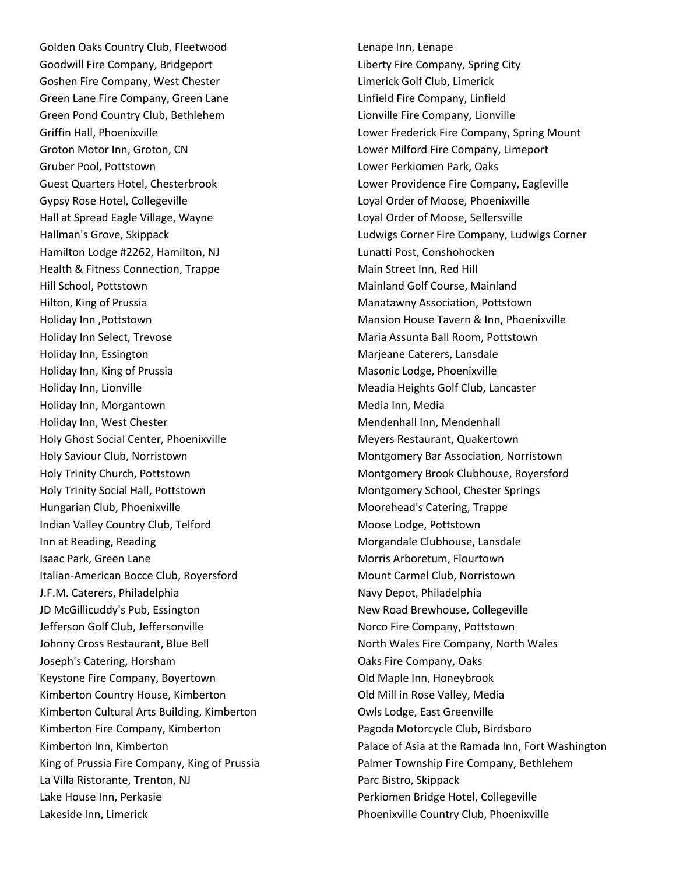Golden Oaks Country Club, Fleetwood Goodwill Fire Company, Bridgeport Goshen Fire Company, West Chester Green Lane Fire Company, Green Lane Green Pond Country Club, Bethlehem Griffin Hall, Phoenixville Groton Motor Inn, Groton, CN Gruber Pool, Pottstown Guest Quarters Hotel, Chesterbrook Gypsy Rose Hotel, Collegeville Hall at Spread Eagle Village, Wayne Hallman's Grove, Skippack Hamilton Lodge #2262, Hamilton, NJ Health & Fitness Connection, Trappe Hill School, Pottstown Hilton, King of Prussia Holiday Inn ,Pottstown Holiday Inn Select, Trevose Holiday Inn, Essington Holiday Inn, King of Prussia Holiday Inn, Lionville Holiday Inn, Morgantown Holiday Inn, West Chester Holy Ghost Social Center, Phoenixville Holy Saviour Club, Norristown Holy Trinity Church, Pottstown Holy Trinity Social Hall, Pottstown Hungarian Club, Phoenixville Indian Valley Country Club, Telford Inn at Reading, Reading Isaac Park, Green Lane Italian-American Bocce Club, Royersford J.F.M. Caterers, Philadelphia JD McGillicuddy's Pub, Essington Jefferson Golf Club, Jeffersonville Johnny Cross Restaurant, Blue Bell Joseph's Catering, Horsham Keystone Fire Company, Boyertown Kimberton Country House, Kimberton Kimberton Cultural Arts Building, Kimberton Kimberton Fire Company, Kimberton Kimberton Inn, Kimberton King of Prussia Fire Company, King of Prussia La Villa Ristorante, Trenton, NJ Lake House Inn, Perkasie Lakeside Inn, Limerick

Lenape Inn, Lenape Liberty Fire Company, Spring City Limerick Golf Club, Limerick Linfield Fire Company, Linfield Lionville Fire Company, Lionville Lower Frederick Fire Company, Spring Mount Lower Milford Fire Company, Limeport Lower Perkiomen Park, Oaks Lower Providence Fire Company, Eagleville Loyal Order of Moose, Phoenixville Loyal Order of Moose, Sellersville Ludwigs Corner Fire Company, Ludwigs Corner Lunatti Post, Conshohocken Main Street Inn, Red Hill Mainland Golf Course, Mainland Manatawny Association, Pottstown Mansion House Tavern & Inn, Phoenixville Maria Assunta Ball Room, Pottstown Marjeane Caterers, Lansdale Masonic Lodge, Phoenixville Meadia Heights Golf Club, Lancaster Media Inn, Media Mendenhall Inn, Mendenhall Meyers Restaurant, Quakertown Montgomery Bar Association, Norristown Montgomery Brook Clubhouse, Royersford Montgomery School, Chester Springs Moorehead's Catering, Trappe Moose Lodge, Pottstown Morgandale Clubhouse, Lansdale Morris Arboretum, Flourtown Mount Carmel Club, Norristown Navy Depot, Philadelphia New Road Brewhouse, Collegeville Norco Fire Company, Pottstown North Wales Fire Company, North Wales Oaks Fire Company, Oaks Old Maple Inn, Honeybrook Old Mill in Rose Valley, Media Owls Lodge, East Greenville Pagoda Motorcycle Club, Birdsboro Palace of Asia at the Ramada Inn, Fort Washington Palmer Township Fire Company, Bethlehem Parc Bistro, Skippack Perkiomen Bridge Hotel, Collegeville Phoenixville Country Club, Phoenixville